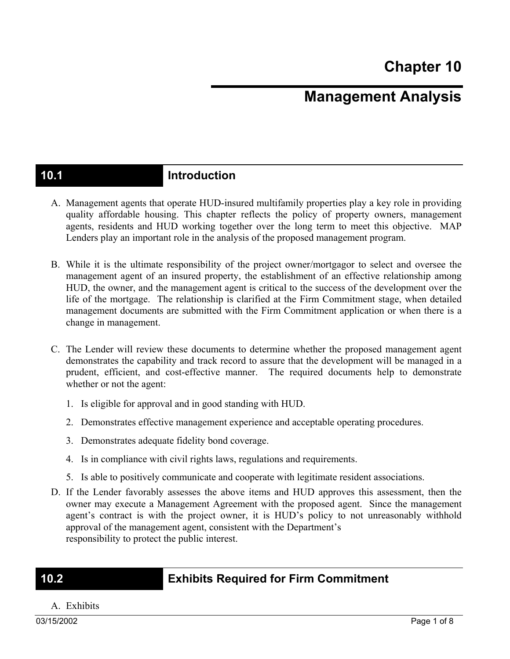# **Management Analysis**

### **10.1 Introduction**

- A. Management agents that operate HUD-insured multifamily properties play a key role in providing quality affordable housing. This chapter reflects the policy of property owners, management agents, residents and HUD working together over the long term to meet this objective. MAP Lenders play an important role in the analysis of the proposed management program.
- B. While it is the ultimate responsibility of the project owner/mortgagor to select and oversee the management agent of an insured property, the establishment of an effective relationship among HUD, the owner, and the management agent is critical to the success of the development over the life of the mortgage. The relationship is clarified at the Firm Commitment stage, when detailed management documents are submitted with the Firm Commitment application or when there is a change in management.
- C. The Lender will review these documents to determine whether the proposed management agent demonstrates the capability and track record to assure that the development will be managed in a prudent, efficient, and cost-effective manner. The required documents help to demonstrate whether or not the agent:
	- 1. Is eligible for approval and in good standing with HUD.
	- 2. Demonstrates effective management experience and acceptable operating procedures.
	- 3. Demonstrates adequate fidelity bond coverage.
	- 4. Is in compliance with civil rights laws, regulations and requirements.
	- 5. Is able to positively communicate and cooperate with legitimate resident associations.
- D. If the Lender favorably assesses the above items and HUD approves this assessment, then the owner may execute a Management Agreement with the proposed agent. Since the management agent's contract is with the project owner, it is HUD's policy to not unreasonably withhold approval of the management agent, consistent with the Department's responsibility to protect the public interest.

### **10.2 Exhibits Required for Firm Commitment**

A. Exhibits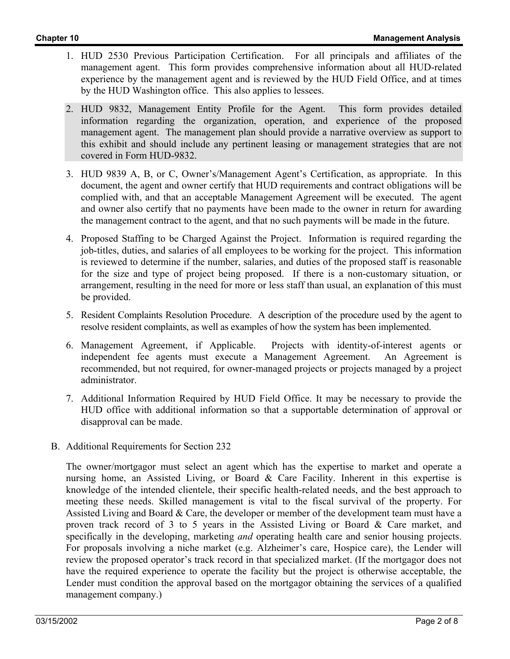- 1. HUD 2530 Previous Participation Certification. For all principals and affiliates of the management agent. This form provides comprehensive information about all HUD-related experience by the management agent and is reviewed by the HUD Field Office, and at times by the HUD Washington office. This also applies to lessees.
- 2. HUD 9832, Management Entity Profile for the Agent. This form provides detailed information regarding the organization, operation, and experience of the proposed management agent. The management plan should provide a narrative overview as support to this exhibit and should include any pertinent leasing or management strategies that are not covered in Form HUD-9832.
- 3. HUD 9839 A, B, or C, Owner's/Management Agent's Certification, as appropriate. In this document, the agent and owner certify that HUD requirements and contract obligations will be complied with, and that an acceptable Management Agreement will be executed. The agent and owner also certify that no payments have been made to the owner in return for awarding the management contract to the agent, and that no such payments will be made in the future.
- 4. Proposed Staffing to be Charged Against the Project. Information is required regarding the job-titles, duties, and salaries of all employees to be working for the project. This information is reviewed to determine if the number, salaries, and duties of the proposed staff is reasonable for the size and type of project being proposed. If there is a non-customary situation, or arrangement, resulting in the need for more or less staff than usual, an explanation of this must be provided.
- 5. Resident Complaints Resolution Procedure. A description of the procedure used by the agent to resolve resident complaints, as well as examples of how the system has been implemented.
- 6. Management Agreement, if Applicable. Projects with identity-of-interest agents or independent fee agents must execute a Management Agreement. An Agreement is recommended, but not required, for owner-managed projects or projects managed by a project administrator.
- 7. Additional Information Required by HUD Field Office. It may be necessary to provide the HUD office with additional information so that a supportable determination of approval or disapproval can be made.
- B. Additional Requirements for Section 232

The owner/mortgagor must select an agent which has the expertise to market and operate a nursing home, an Assisted Living, or Board & Care Facility. Inherent in this expertise is knowledge of the intended clientele, their specific health-related needs, and the best approach to meeting these needs. Skilled management is vital to the fiscal survival of the property. For Assisted Living and Board & Care, the developer or member of the development team must have a proven track record of 3 to 5 years in the Assisted Living or Board & Care market, and specifically in the developing, marketing *and* operating health care and senior housing projects. For proposals involving a niche market (e.g. Alzheimer's care, Hospice care), the Lender will review the proposed operator's track record in that specialized market. (If the mortgagor does not have the required experience to operate the facility but the project is otherwise acceptable, the Lender must condition the approval based on the mortgagor obtaining the services of a qualified management company.)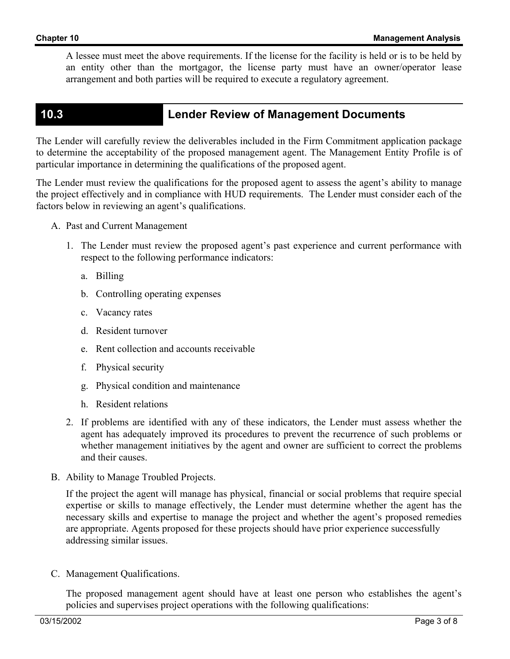A lessee must meet the above requirements. If the license for the facility is held or is to be held by an entity other than the mortgagor, the license party must have an owner/operator lease arrangement and both parties will be required to execute a regulatory agreement.

## **10.3 Lender Review of Management Documents**

The Lender will carefully review the deliverables included in the Firm Commitment application package to determine the acceptability of the proposed management agent. The Management Entity Profile is of particular importance in determining the qualifications of the proposed agent.

The Lender must review the qualifications for the proposed agent to assess the agent's ability to manage the project effectively and in compliance with HUD requirements. The Lender must consider each of the factors below in reviewing an agent's qualifications.

- A. Past and Current Management
	- 1. The Lender must review the proposed agent's past experience and current performance with respect to the following performance indicators:
		- a. Billing
		- b. Controlling operating expenses
		- c. Vacancy rates
		- d. Resident turnover
		- e. Rent collection and accounts receivable
		- f. Physical security
		- g. Physical condition and maintenance
		- h. Resident relations
	- 2. If problems are identified with any of these indicators, the Lender must assess whether the agent has adequately improved its procedures to prevent the recurrence of such problems or whether management initiatives by the agent and owner are sufficient to correct the problems and their causes.
- B. Ability to Manage Troubled Projects.

If the project the agent will manage has physical, financial or social problems that require special expertise or skills to manage effectively, the Lender must determine whether the agent has the necessary skills and expertise to manage the project and whether the agent's proposed remedies are appropriate. Agents proposed for these projects should have prior experience successfully addressing similar issues.

C. Management Qualifications.

The proposed management agent should have at least one person who establishes the agent's policies and supervises project operations with the following qualifications: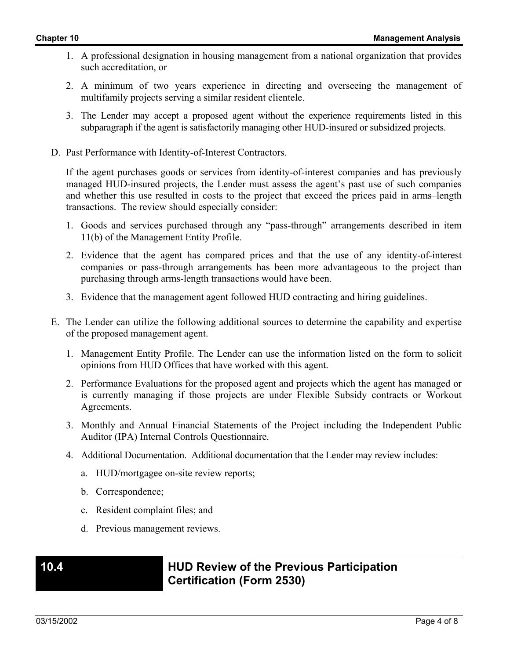- 1. A professional designation in housing management from a national organization that provides such accreditation, or
- 2. A minimum of two years experience in directing and overseeing the management of multifamily projects serving a similar resident clientele.
- 3. The Lender may accept a proposed agent without the experience requirements listed in this subparagraph if the agent is satisfactorily managing other HUD-insured or subsidized projects.
- D. Past Performance with Identity-of-Interest Contractors.

If the agent purchases goods or services from identity-of-interest companies and has previously managed HUD-insured projects, the Lender must assess the agent's past use of such companies and whether this use resulted in costs to the project that exceed the prices paid in arms–length transactions. The review should especially consider:

- 1. Goods and services purchased through any "pass-through" arrangements described in item 11(b) of the Management Entity Profile.
- 2. Evidence that the agent has compared prices and that the use of any identity-of-interest companies or pass-through arrangements has been more advantageous to the project than purchasing through arms-length transactions would have been.
- 3. Evidence that the management agent followed HUD contracting and hiring guidelines.
- E. The Lender can utilize the following additional sources to determine the capability and expertise of the proposed management agent.
	- 1. Management Entity Profile. The Lender can use the information listed on the form to solicit opinions from HUD Offices that have worked with this agent.
	- 2. Performance Evaluations for the proposed agent and projects which the agent has managed or is currently managing if those projects are under Flexible Subsidy contracts or Workout Agreements.
	- 3. Monthly and Annual Financial Statements of the Project including the Independent Public Auditor (IPA) Internal Controls Questionnaire.
	- 4. Additional Documentation. Additional documentation that the Lender may review includes:
		- a. HUD/mortgagee on-site review reports;
		- b. Correspondence;
		- c. Resident complaint files; and
		- d. Previous management reviews.

### **10.4 HUD Review of the Previous Participation Certification (Form 2530)**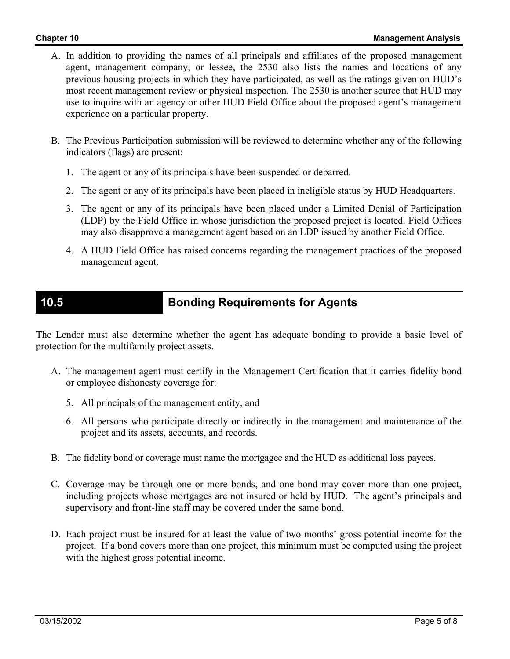- A. In addition to providing the names of all principals and affiliates of the proposed management agent, management company, or lessee, the 2530 also lists the names and locations of any previous housing projects in which they have participated, as well as the ratings given on HUD's most recent management review or physical inspection. The 2530 is another source that HUD may use to inquire with an agency or other HUD Field Office about the proposed agent's management experience on a particular property.
- B. The Previous Participation submission will be reviewed to determine whether any of the following indicators (flags) are present:
	- 1. The agent or any of its principals have been suspended or debarred.
	- 2. The agent or any of its principals have been placed in ineligible status by HUD Headquarters.
	- 3. The agent or any of its principals have been placed under a Limited Denial of Participation (LDP) by the Field Office in whose jurisdiction the proposed project is located. Field Offices may also disapprove a management agent based on an LDP issued by another Field Office.
	- 4. A HUD Field Office has raised concerns regarding the management practices of the proposed management agent.

## **10.5 Bonding Requirements for Agents**

The Lender must also determine whether the agent has adequate bonding to provide a basic level of protection for the multifamily project assets.

- A. The management agent must certify in the Management Certification that it carries fidelity bond or employee dishonesty coverage for:
	- 5. All principals of the management entity, and
	- 6. All persons who participate directly or indirectly in the management and maintenance of the project and its assets, accounts, and records.
- B. The fidelity bond or coverage must name the mortgagee and the HUD as additional loss payees.
- C. Coverage may be through one or more bonds, and one bond may cover more than one project, including projects whose mortgages are not insured or held by HUD. The agent's principals and supervisory and front-line staff may be covered under the same bond.
- D. Each project must be insured for at least the value of two months' gross potential income for the project. If a bond covers more than one project, this minimum must be computed using the project with the highest gross potential income.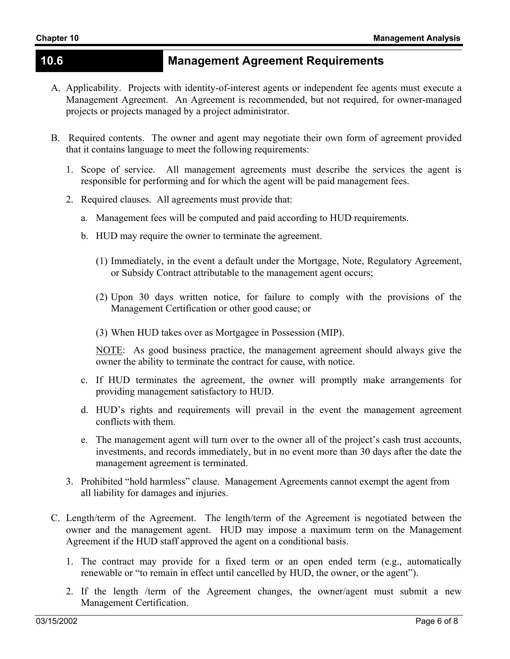### **10.6 Management Agreement Requirements**

- A. Applicability. Projects with identity-of-interest agents or independent fee agents must execute a Management Agreement. An Agreement is recommended, but not required, for owner-managed projects or projects managed by a project administrator.
- B. Required contents. The owner and agent may negotiate their own form of agreement provided that it contains language to meet the following requirements:
	- 1. Scope of service. All management agreements must describe the services the agent is responsible for performing and for which the agent will be paid management fees.
	- 2. Required clauses. All agreements must provide that:
		- a. Management fees will be computed and paid according to HUD requirements.
		- b. HUD may require the owner to terminate the agreement.
			- (1) Immediately, in the event a default under the Mortgage, Note, Regulatory Agreement, or Subsidy Contract attributable to the management agent occurs;
			- (2) Upon 30 days written notice, for failure to comply with the provisions of the Management Certification or other good cause; or
			- (3) When HUD takes over as Mortgagee in Possession (MIP).

NOTE: As good business practice, the management agreement should always give the owner the ability to terminate the contract for cause, with notice.

- c. If HUD terminates the agreement, the owner will promptly make arrangements for providing management satisfactory to HUD.
- d. HUD's rights and requirements will prevail in the event the management agreement conflicts with them.
- e. The management agent will turn over to the owner all of the project's cash trust accounts, investments, and records immediately, but in no event more than 30 days after the date the management agreement is terminated.
- 3. Prohibited "hold harmless" clause. Management Agreements cannot exempt the agent from all liability for damages and injuries.
- C. Length/term of the Agreement. The length/term of the Agreement is negotiated between the owner and the management agent. HUD may impose a maximum term on the Management Agreement if the HUD staff approved the agent on a conditional basis.
	- 1. The contract may provide for a fixed term or an open ended term (e.g., automatically renewable or "to remain in effect until cancelled by HUD, the owner, or the agent").
	- 2. If the length /term of the Agreement changes, the owner/agent must submit a new Management Certification.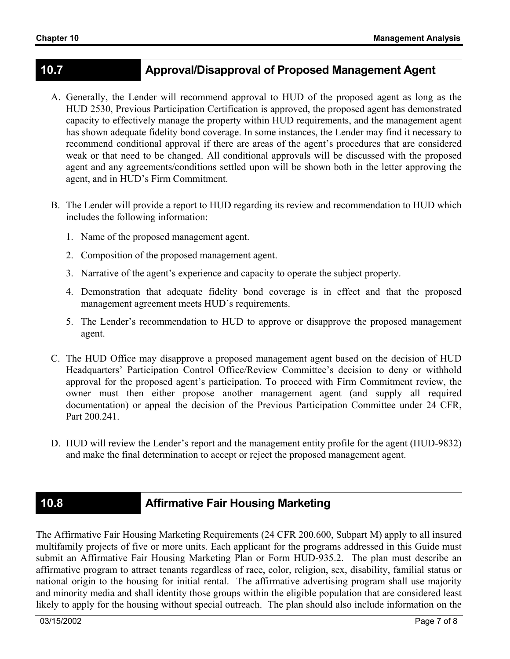## **10.7 Approval/Disapproval of Proposed Management Agent**

- A. Generally, the Lender will recommend approval to HUD of the proposed agent as long as the HUD 2530, Previous Participation Certification is approved, the proposed agent has demonstrated capacity to effectively manage the property within HUD requirements, and the management agent has shown adequate fidelity bond coverage. In some instances, the Lender may find it necessary to recommend conditional approval if there are areas of the agent's procedures that are considered weak or that need to be changed. All conditional approvals will be discussed with the proposed agent and any agreements/conditions settled upon will be shown both in the letter approving the agent, and in HUD's Firm Commitment.
- B. The Lender will provide a report to HUD regarding its review and recommendation to HUD which includes the following information:
	- 1. Name of the proposed management agent.
	- 2. Composition of the proposed management agent.
	- 3. Narrative of the agent's experience and capacity to operate the subject property.
	- 4. Demonstration that adequate fidelity bond coverage is in effect and that the proposed management agreement meets HUD's requirements.
	- 5. The Lender's recommendation to HUD to approve or disapprove the proposed management agent.
- C. The HUD Office may disapprove a proposed management agent based on the decision of HUD Headquarters' Participation Control Office/Review Committee's decision to deny or withhold approval for the proposed agent's participation. To proceed with Firm Commitment review, the owner must then either propose another management agent (and supply all required documentation) or appeal the decision of the Previous Participation Committee under 24 CFR, Part 200.241.
- D. HUD will review the Lender's report and the management entity profile for the agent (HUD-9832) and make the final determination to accept or reject the proposed management agent.

## **10.8 Affirmative Fair Housing Marketing**

The Affirmative Fair Housing Marketing Requirements (24 CFR 200.600, Subpart M) apply to all insured multifamily projects of five or more units. Each applicant for the programs addressed in this Guide must submit an Affirmative Fair Housing Marketing Plan or Form HUD-935.2. The plan must describe an affirmative program to attract tenants regardless of race, color, religion, sex, disability, familial status or national origin to the housing for initial rental. The affirmative advertising program shall use majority and minority media and shall identity those groups within the eligible population that are considered least likely to apply for the housing without special outreach. The plan should also include information on the